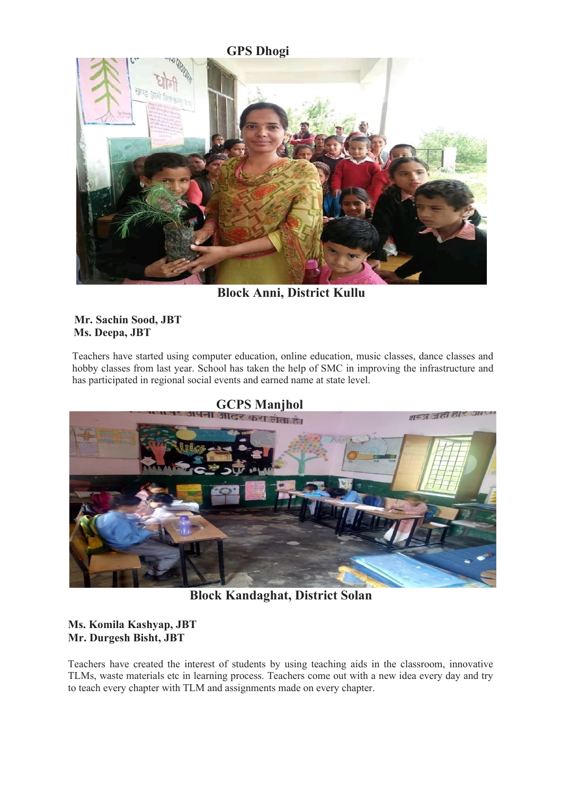

 **Block Anni, District Kullu**

## **Mr. Sachin Sood, JBT Ms. Deepa, JBT**

Teachers have started using computer education, online education, music classes, dance classes and hobby classes from last year. School has taken the help of SMC in improving the infrastructure and has participated in regional social events and earned name at state level.

# **GCPS Manjhol**



**Block Kandaghat, District Solan**

## **Ms. Komila Kashyap, JBT Mr. Durgesh Bisht, JBT**

Teachers have created the interest of students by using teaching aids in the classroom, innovative TLMs, waste materials etc in learning process. Teachers come out with a new idea every day and try to teach every chapter with TLM and assignments made on every chapter.